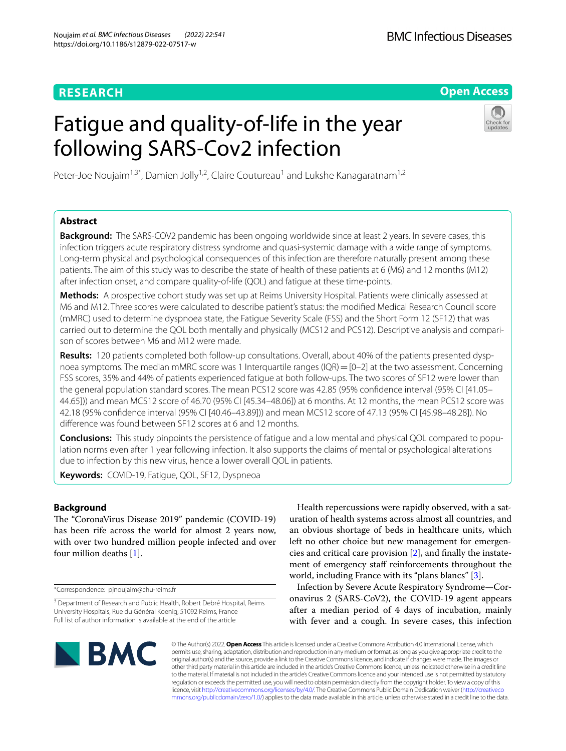## **RESEARCH**

**Open Access**

# Fatigue and quality-of-life in the year following SARS-Cov2 infection



Peter-Joe Noujaim<sup>1,3\*</sup>, Damien Jolly<sup>1,2</sup>, Claire Coutureau<sup>1</sup> and Lukshe Kanagaratnam<sup>1,2</sup>

## **Abstract**

**Background:** The SARS-COV2 pandemic has been ongoing worldwide since at least 2 years. In severe cases, this infection triggers acute respiratory distress syndrome and quasi-systemic damage with a wide range of symptoms. Long-term physical and psychological consequences of this infection are therefore naturally present among these patients. The aim of this study was to describe the state of health of these patients at 6 (M6) and 12 months (M12) after infection onset, and compare quality-of-life (QOL) and fatigue at these time-points.

**Methods:** A prospective cohort study was set up at Reims University Hospital. Patients were clinically assessed at M6 and M12. Three scores were calculated to describe patient's status: the modifed Medical Research Council score (mMRC) used to determine dyspnoea state, the Fatigue Severity Scale (FSS) and the Short Form 12 (SF12) that was carried out to determine the QOL both mentally and physically (MCS12 and PCS12). Descriptive analysis and comparison of scores between M6 and M12 were made.

**Results:** 120 patients completed both follow-up consultations. Overall, about 40% of the patients presented dysp‑ noea symptoms. The median mMRC score was 1 Interquartile ranges (IQR) = [0–2] at the two assessment. Concerning FSS scores, 35% and 44% of patients experienced fatigue at both follow-ups. The two scores of SF12 were lower than the general population standard scores. The mean PCS12 score was 42.85 (95% confdence interval (95% CI [41.05– 44.65])) and mean MCS12 score of 46.70 (95% CI [45.34–48.06]) at 6 months. At 12 months, the mean PCS12 score was 42.18 (95% confdence interval (95% CI [40.46–43.89])) and mean MCS12 score of 47.13 (95% CI [45.98–48.28]). No diference was found between SF12 scores at 6 and 12 months.

**Conclusions:** This study pinpoints the persistence of fatigue and a low mental and physical QOL compared to popu‑ lation norms even after 1 year following infection. It also supports the claims of mental or psychological alterations due to infection by this new virus, hence a lower overall QOL in patients.

**Keywords:** COVID-19, Fatigue, QOL, SF12, Dyspneoa

## **Background**

The "CoronaVirus Disease 2019" pandemic (COVID-19) has been rife across the world for almost 2 years now, with over two hundred million people infected and over four million deaths [[1\]](#page-6-0).

\*Correspondence: pjnoujaim@chu-reims.fr

Health repercussions were rapidly observed, with a saturation of health systems across almost all countries, and an obvious shortage of beds in healthcare units, which left no other choice but new management for emergencies and critical care provision [[2\]](#page-6-1), and fnally the instatement of emergency staff reinforcements throughout the world, including France with its "plans blancs" [[3\]](#page-6-2).

Infection by Severe Acute Respiratory Syndrome—Coronavirus 2 (SARS-CoV2), the COVID-19 agent appears after a median period of 4 days of incubation, mainly with fever and a cough. In severe cases, this infection



© The Author(s) 2022. **Open Access** This article is licensed under a Creative Commons Attribution 4.0 International License, which permits use, sharing, adaptation, distribution and reproduction in any medium or format, as long as you give appropriate credit to the original author(s) and the source, provide a link to the Creative Commons licence, and indicate if changes were made. The images or other third party material in this article are included in the article's Creative Commons licence, unless indicated otherwise in a credit line to the material. If material is not included in the article's Creative Commons licence and your intended use is not permitted by statutory regulation or exceeds the permitted use, you will need to obtain permission directly from the copyright holder. To view a copy of this licence, visit [http://creativecommons.org/licenses/by/4.0/.](http://creativecommons.org/licenses/by/4.0/) The Creative Commons Public Domain Dedication waiver ([http://creativeco](http://creativecommons.org/publicdomain/zero/1.0/) [mmons.org/publicdomain/zero/1.0/](http://creativecommons.org/publicdomain/zero/1.0/)) applies to the data made available in this article, unless otherwise stated in a credit line to the data.

<sup>&</sup>lt;sup>3</sup> Department of Research and Public Health, Robert Debré Hospital, Reims University Hospitals, Rue du Général Koenig, 51092 Reims, France Full list of author information is available at the end of the article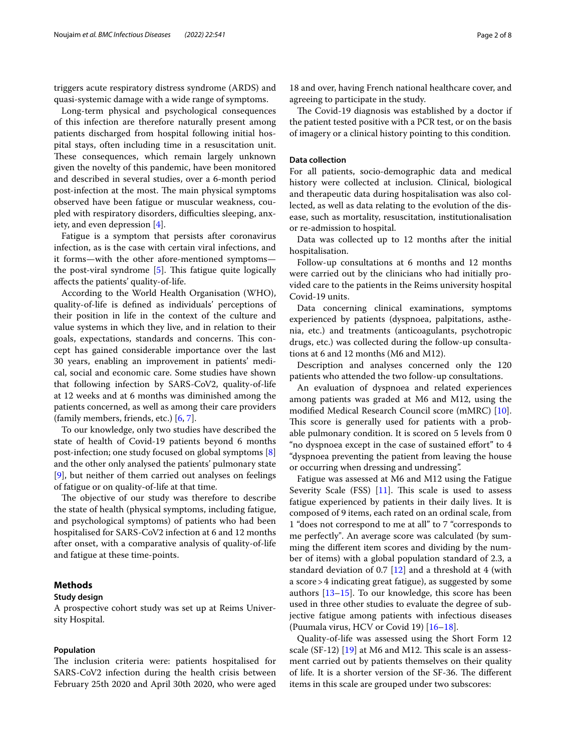triggers acute respiratory distress syndrome (ARDS) and quasi-systemic damage with a wide range of symptoms.

Long-term physical and psychological consequences of this infection are therefore naturally present among patients discharged from hospital following initial hospital stays, often including time in a resuscitation unit. These consequences, which remain largely unknown given the novelty of this pandemic, have been monitored and described in several studies, over a 6-month period post-infection at the most. The main physical symptoms observed have been fatigue or muscular weakness, coupled with respiratory disorders, difficulties sleeping, anxiety, and even depression [\[4](#page-6-3)].

Fatigue is a symptom that persists after coronavirus infection, as is the case with certain viral infections, and it forms—with the other afore-mentioned symptoms the post-viral syndrome  $[5]$  $[5]$ . This fatigue quite logically afects the patients' quality-of-life.

According to the World Health Organisation (WHO), quality-of-life is defned as individuals' perceptions of their position in life in the context of the culture and value systems in which they live, and in relation to their goals, expectations, standards and concerns. This concept has gained considerable importance over the last 30 years, enabling an improvement in patients' medical, social and economic care. Some studies have shown that following infection by SARS-CoV2, quality-of-life at 12 weeks and at 6 months was diminished among the patients concerned, as well as among their care providers (family members, friends, etc.) [\[6,](#page-7-1) [7](#page-7-2)].

To our knowledge, only two studies have described the state of health of Covid-19 patients beyond 6 months post-infection; one study focused on global symptoms [\[8](#page-7-3)] and the other only analysed the patients' pulmonary state [[9\]](#page-7-4), but neither of them carried out analyses on feelings of fatigue or on quality-of-life at that time.

The objective of our study was therefore to describe the state of health (physical symptoms, including fatigue, and psychological symptoms) of patients who had been hospitalised for SARS-CoV2 infection at 6 and 12 months after onset, with a comparative analysis of quality-of-life and fatigue at these time-points.

## **Methods**

#### **Study design**

A prospective cohort study was set up at Reims University Hospital.

#### **Population**

The inclusion criteria were: patients hospitalised for SARS-CoV2 infection during the health crisis between February 25th 2020 and April 30th 2020, who were aged

18 and over, having French national healthcare cover, and agreeing to participate in the study.

The Covid-19 diagnosis was established by a doctor if the patient tested positive with a PCR test, or on the basis of imagery or a clinical history pointing to this condition.

## **Data collection**

For all patients, socio-demographic data and medical history were collected at inclusion. Clinical, biological and therapeutic data during hospitalisation was also collected, as well as data relating to the evolution of the disease, such as mortality, resuscitation, institutionalisation or re-admission to hospital.

Data was collected up to 12 months after the initial hospitalisation.

Follow-up consultations at 6 months and 12 months were carried out by the clinicians who had initially provided care to the patients in the Reims university hospital Covid-19 units.

Data concerning clinical examinations, symptoms experienced by patients (dyspnoea, palpitations, asthenia, etc.) and treatments (anticoagulants, psychotropic drugs, etc.) was collected during the follow-up consultations at 6 and 12 months (M6 and M12).

Description and analyses concerned only the 120 patients who attended the two follow-up consultations.

An evaluation of dyspnoea and related experiences among patients was graded at M6 and M12, using the modifed Medical Research Council score (mMRC) [\[10](#page-7-5)]. This score is generally used for patients with a probable pulmonary condition. It is scored on 5 levels from 0 "no dyspnoea except in the case of sustained efort" to 4 "dyspnoea preventing the patient from leaving the house or occurring when dressing and undressing".

Fatigue was assessed at M6 and M12 using the Fatigue Severity Scale (FSS) [\[11](#page-7-6)]. This scale is used to assess fatigue experienced by patients in their daily lives. It is composed of 9 items, each rated on an ordinal scale, from 1 "does not correspond to me at all" to 7 "corresponds to me perfectly". An average score was calculated (by summing the diferent item scores and dividing by the number of items) with a global population standard of 2.3, a standard deviation of 0.7 [\[12](#page-7-7)] and a threshold at 4 (with a score>4 indicating great fatigue), as suggested by some authors [\[13](#page-7-8)[–15\]](#page-7-9). To our knowledge, this score has been used in three other studies to evaluate the degree of subjective fatigue among patients with infectious diseases (Puumala virus, HCV or Covid 19) [[16](#page-7-10)[–18](#page-7-11)].

Quality-of-life was assessed using the Short Form 12 scale  $(SF-12)$  [[19\]](#page-7-12) at M6 and M12. This scale is an assessment carried out by patients themselves on their quality of life. It is a shorter version of the SF-36. The different items in this scale are grouped under two subscores: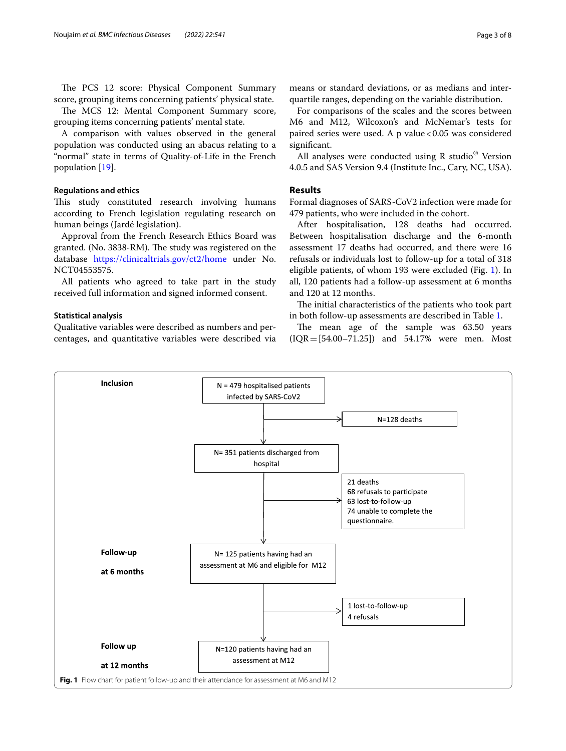The PCS 12 score: Physical Component Summary score, grouping items concerning patients' physical state.

The MCS 12: Mental Component Summary score, grouping items concerning patients' mental state.

A comparison with values observed in the general population was conducted using an abacus relating to a "normal" state in terms of Quality-of-Life in the French population [[19\]](#page-7-12).

## **Regulations and ethics**

This study constituted research involving humans according to French legislation regulating research on human beings (Jardé legislation).

Approval from the French Research Ethics Board was granted. (No. 3838-RM). The study was registered on the database <https://clinicaltrials.gov/ct2/home>under No. NCT04553575.

All patients who agreed to take part in the study received full information and signed informed consent.

## **Statistical analysis**

Qualitative variables were described as numbers and percentages, and quantitative variables were described via means or standard deviations, or as medians and interquartile ranges, depending on the variable distribution.

For comparisons of the scales and the scores between M6 and M12, Wilcoxon's and McNemar's tests for paired series were used. A p value < 0.05 was considered signifcant.

All analyses were conducted using R studio<sup>®</sup> Version 4.0.5 and SAS Version 9.4 (Institute Inc., Cary, NC, USA).

## **Results**

Formal diagnoses of SARS-CoV2 infection were made for 479 patients, who were included in the cohort.

After hospitalisation, 128 deaths had occurred. Between hospitalisation discharge and the 6-month assessment 17 deaths had occurred, and there were 16 refusals or individuals lost to follow-up for a total of 318 eligible patients, of whom 193 were excluded (Fig. [1](#page-2-0)). In all, 120 patients had a follow-up assessment at 6 months and 120 at 12 months.

The initial characteristics of the patients who took part in both follow-up assessments are described in Table [1](#page-3-0).

The mean age of the sample was 63.50 years (IQR=[54.00–71.25]) and 54.17% were men. Most

<span id="page-2-0"></span>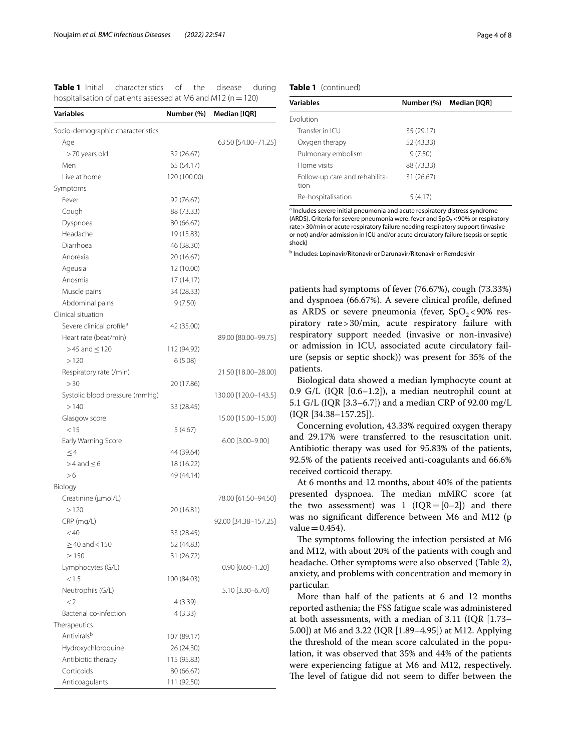<span id="page-3-0"></span>**Table 1** Initial characteristics of the disease during hospitalisation of patients assessed at M6 and M12 ( $n=120$ )

| Variables                              | Number (%)   | Median [IQR]           |
|----------------------------------------|--------------|------------------------|
| Socio-demographic characteristics      |              |                        |
| Age                                    |              | 63.50 [54.00-71.25]    |
| >70 years old                          | 32 (26.67)   |                        |
| Men                                    | 65 (54.17)   |                        |
| Live at home                           | 120 (100.00) |                        |
| Symptoms                               |              |                        |
| Fever                                  | 92 (76.67)   |                        |
| Cough                                  | 88 (73.33)   |                        |
| Dyspnoea                               | 80 (66.67)   |                        |
| Headache                               | 19 (15.83)   |                        |
| Diarrhoea                              | 46 (38.30)   |                        |
| Anorexia                               | 20 (16.67)   |                        |
| Ageusia                                | 12 (10.00)   |                        |
| Anosmia                                | 17 (14.17)   |                        |
| Muscle pains                           | 34 (28.33)   |                        |
| Abdominal pains                        | 9(7.50)      |                        |
| Clinical situation                     |              |                        |
| Severe clinical profile <sup>a</sup>   | 42 (35.00)   |                        |
| Heart rate (beat/min)                  |              | 89.00 [80.00-99.75]    |
| $>45$ and $\leq$ 120                   | 112 (94.92)  |                        |
| >120                                   | 6(5.08)      |                        |
| Respiratory rate (/min)                |              | 21.50 [18.00-28.00]    |
| > 30                                   |              |                        |
|                                        | 20 (17.86)   |                        |
| Systolic blood pressure (mmHg)<br>>140 |              | 130.00 [120.0-143.5]   |
|                                        | 33 (28.45)   |                        |
| Glasgow score                          |              | 15.00 [15.00-15.00]    |
| < 15                                   | 5(4.67)      |                        |
| Early Warning Score                    |              | $6.00$ [3.00-9.00]     |
| $\leq$ 4                               | 44 (39.64)   |                        |
| $>$ 4 and $\leq$ 6                     | 18 (16.22)   |                        |
| > 6                                    | 49 (44.14)   |                        |
| Biology                                |              |                        |
| Creatinine (µmol/L)                    |              | 78.00 [61.50-94.50]    |
| >120                                   | 20 (16.81)   |                        |
| CRP (mg/L)                             |              | 92.00 [34.38-157.25]   |
| < 40                                   | 33 (28.45)   |                        |
| $\geq$ 40 and < 150                    | 52 (44.83)   |                        |
| $\geq$ 150                             | 31 (26.72)   |                        |
| Lymphocytes (G/L)                      |              | $0.90$ $[0.60 - 1.20]$ |
| < 1.5                                  | 100 (84.03)  |                        |
| Neutrophils (G/L)                      |              | 5.10 [3.30-6.70]       |
| $\lt 2$                                | 4 (3.39)     |                        |
| Bacterial co-infection                 | 4(3.33)      |                        |
| Therapeutics                           |              |                        |
| Antivirals <sup>b</sup>                | 107 (89.17)  |                        |
| Hydroxychloroquine                     | 26 (24.30)   |                        |
| Antibiotic therapy                     | 115 (95.83)  |                        |
| Corticoids                             | 80 (66.67)   |                        |
| Anticoagulants                         | 111 (92.50)  |                        |

### **Table 1** (continued)

| <b>Variables</b>                       | Number (%) | Median [IQR] |
|----------------------------------------|------------|--------------|
| <b>Fvolution</b>                       |            |              |
| Transfer in ICU                        | 35 (29.17) |              |
| Oxygen therapy                         | 52 (43.33) |              |
| Pulmonary embolism                     | 9(7.50)    |              |
| Home visits                            | 88 (73.33) |              |
| Follow-up care and rehabilita-<br>tion | 31 (26.67) |              |
| Re-hospitalisation                     | 5(4.17)    |              |

<sup>a</sup> Includes severe initial pneumonia and acute respiratory distress syndrome (ARDS). Criteria for severe pneumonia were: fever and  $SpO<sub>2</sub>$  < 90% or respiratory rate>30/min or acute respiratory failure needing respiratory support (invasive or not) and/or admission in ICU and/or acute circulatory failure (sepsis or septic shock)

**b** Includes: Lopinavir/Ritonavir or Darunavir/Ritonavir or Remdesivir

patients had symptoms of fever (76.67%), cough (73.33%) and dyspnoea (66.67%). A severe clinical profle, defned as ARDS or severe pneumonia (fever,  $SpO<sub>2</sub>< 90\%$  respiratory rate>30/min, acute respiratory failure with respiratory support needed (invasive or non-invasive) or admission in ICU, associated acute circulatory failure (sepsis or septic shock)) was present for 35% of the patients.

Biological data showed a median lymphocyte count at 0.9 G/L (IQR [0.6–1.2]), a median neutrophil count at 5.1 G/L (IQR [3.3–6.7]) and a median CRP of 92.00 mg/L (IQR [34.38–157.25]).

Concerning evolution, 43.33% required oxygen therapy and 29.17% were transferred to the resuscitation unit. Antibiotic therapy was used for 95.83% of the patients, 92.5% of the patients received anti-coagulants and 66.6% received corticoid therapy.

At 6 months and 12 months, about 40% of the patients presented dyspnoea. The median mMRC score (at the two assessment) was 1 ( $IQR=[0-2]$ ) and there was no signifcant diference between M6 and M12 (p  $value = 0.454$ .

The symptoms following the infection persisted at M6 and M12, with about 20% of the patients with cough and headache. Other symptoms were also observed (Table [2](#page-4-0)), anxiety, and problems with concentration and memory in particular.

More than half of the patients at 6 and 12 months reported asthenia; the FSS fatigue scale was administered at both assessments, with a median of 3.11 (IQR [1.73– 5.00]) at M6 and 3.22 (IQR [1.89–4.95]) at M12. Applying the threshold of the mean score calculated in the population, it was observed that 35% and 44% of the patients were experiencing fatigue at M6 and M12, respectively. The level of fatigue did not seem to differ between the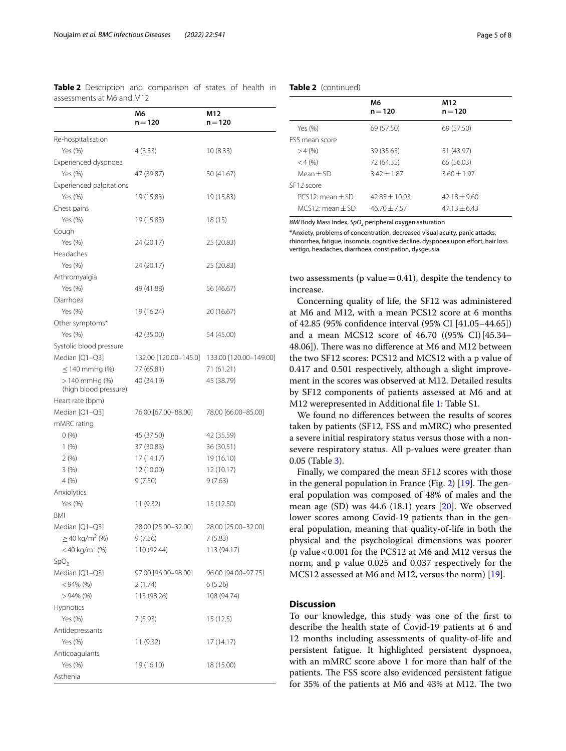|                                          | M6                    | M12                    |
|------------------------------------------|-----------------------|------------------------|
|                                          | $n = 120$             | $n = 120$              |
| Re-hospitalisation                       |                       |                        |
| Yes (%)                                  | 4(3.33)               |                        |
| Experienced dyspnoea                     |                       | 10 (8.33)              |
| Yes (%)                                  | 47 (39.87)            | 50 (41.67)             |
| Experienced palpitations                 |                       |                        |
| Yes (%)                                  |                       |                        |
| Chest pains                              | 19 (15.83)            | 19 (15.83)             |
| Yes (%)                                  |                       |                        |
|                                          | 19 (15.83)            | 18 (15)                |
| Cough<br>Yes (%)                         | 24 (20.17)            |                        |
| Headaches                                |                       | 25 (20.83)             |
|                                          |                       |                        |
| Yes (%)                                  | 24 (20.17)            | 25 (20.83)             |
| Arthromyalgia                            |                       |                        |
| Yes (%)                                  | 49 (41.88)            | 56 (46.67)             |
| Diarrhoea                                |                       |                        |
| Yes (%)                                  | 19 (16.24)            | 20 (16.67)             |
| Other symptoms*                          |                       |                        |
| Yes (%)                                  | 42 (35.00)            | 54 (45.00)             |
| Systolic blood pressure                  |                       |                        |
| Median [Q1-Q3]                           | 132.00 [120.00-145.0] | 133.00 [120.00-149.00] |
| $\leq$ 140 mmHg (%)                      | 77 (65.81)            | 71 (61.21)             |
| $>140$ mmHg (%)<br>(high blood pressure) | 40 (34.19)            | 45 (38.79)             |
| Heart rate (bpm)                         |                       |                        |
| Median [Q1-Q3]                           | 76.00 [67.00-88.00]   | 78.00 [66.00-85.00]    |
| mMRC rating                              |                       |                        |
| 0(%)                                     | 45 (37.50)            | 42 (35.59)             |
| 1(%)                                     | 37 (30.83)            | 36 (30.51)             |
| 2(%)                                     | 17(14.17)             | 19 (16.10)             |
| 3(%)                                     | 12 (10.00)            | 12(10.17)              |
| 4(%)                                     | 9(7.50)               | 9(7.63)                |
| Anxiolytics                              |                       |                        |
| Yes (%)                                  | 11 (9.32)             | 15 (12.50)             |
| <b>BMI</b>                               |                       |                        |
| Median [Q1-Q3]                           | 28.00 [25.00-32.00]   | 28.00 [25.00-32.00]    |
| $\geq$ 40 kg/m <sup>2</sup> (%)          | 9(7.56)               | 7 (5.83)               |
| $<$ 40 kg/m <sup>2</sup> (%)             | 110 (92.44)           | 113 (94.17)            |
| SpO <sub>2</sub>                         |                       |                        |
| Median [Q1-Q3]                           | 97.00 [96.00-98.00]   | 96.00 [94.00-97.75]    |
| $<$ 94% (%)                              | 2(1.74)               | 6(5.26)                |
| $>94\%$ (%)                              | 113 (98.26)           | 108 (94.74)            |
| <b>Hypnotics</b>                         |                       |                        |
| Yes (%)                                  | 7(5.93)               | 15 (12.5)              |
| Antidepressants                          |                       |                        |
| Yes (%)                                  | 11 (9.32)             | 17 (14.17)             |
| Anticoagulants                           |                       |                        |
| Yes (%)                                  | 19 (16.10)            | 18 (15.00)             |
| Asthenia                                 |                       |                        |

<span id="page-4-0"></span>

|                           | Table 2 Description and comparison of states of health in |  |  |  |
|---------------------------|-----------------------------------------------------------|--|--|--|
| assessments at M6 and M12 |                                                           |  |  |  |

## **Table 2** (continued)

|                       | M6<br>$n = 120$   | M <sub>12</sub><br>$n = 120$ |  |
|-----------------------|-------------------|------------------------------|--|
| Yes (%)               | 69 (57.50)        | 69 (57.50)                   |  |
| <b>FSS mean score</b> |                   |                              |  |
| >4(%                  | 39 (35.65)        | 51 (43.97)                   |  |
| $<$ 4 (%)             | 72 (64.35)        | 65 (56.03)                   |  |
| $Mean + SD$           | $3.42 \pm 1.87$   | $3.60 \pm 1.97$              |  |
| SE12 score            |                   |                              |  |
| $PCS12:$ mean $+SD$   | $42.85 \pm 10.03$ | $42.18 + 9.60$               |  |
| $MCS12$ mean $+SD$    | $46.70 \pm 7.57$  | $47.13 + 6.43$               |  |

*BMI* Body Mass Index, *SpO*<sub>2</sub> peripheral oxygen saturation

\*Anxiety, problems of concentration, decreased visual acuity, panic attacks, rhinorrhea, fatigue, insomnia, cognitive decline, dyspnoea upon effort, hair loss vertigo, headaches, diarrhoea, constipation, dysgeusia

two assessments ( $p$  value $=0.41$ ), despite the tendency to increase.

Concerning quality of life, the SF12 was administered at M6 and M12, with a mean PCS12 score at 6 months of 42.85 (95% confdence interval (95% CI [41.05–44.65]) and a mean MCS12 score of 46.70 ((95% CI)[45.34– 48.06]). There was no difference at M6 and M12 between the two SF12 scores: PCS12 and MCS12 with a p value of 0.417 and 0.501 respectively, although a slight improvement in the scores was observed at M12. Detailed results by SF12 components of patients assessed at M6 and at M12 werepresented in Additional fle [1:](#page-6-4) Table S1.

We found no diferences between the results of scores taken by patients (SF12, FSS and mMRC) who presented a severe initial respiratory status versus those with a nonsevere respiratory status. All p-values were greater than 0.05 (Table [3\)](#page-5-0).

Finally, we compared the mean SF12 scores with those in the general population in France (Fig. [2\)](#page-5-1)  $[19]$  $[19]$ . The general population was composed of 48% of males and the mean age (SD) was 44.6 (18.1) years [\[20\]](#page-7-13). We observed lower scores among Covid-19 patients than in the general population, meaning that quality-of-life in both the physical and the psychological dimensions was poorer (p value<0.001 for the PCS12 at M6 and M12 versus the norm, and p value 0.025 and 0.037 respectively for the MCS12 assessed at M6 and M12, versus the norm) [\[19](#page-7-12)].

## **Discussion**

To our knowledge, this study was one of the frst to describe the health state of Covid-19 patients at 6 and 12 months including assessments of quality-of-life and persistent fatigue. It highlighted persistent dyspnoea, with an mMRC score above 1 for more than half of the patients. The FSS score also evidenced persistent fatigue for 35% of the patients at M6 and 43% at M12. The two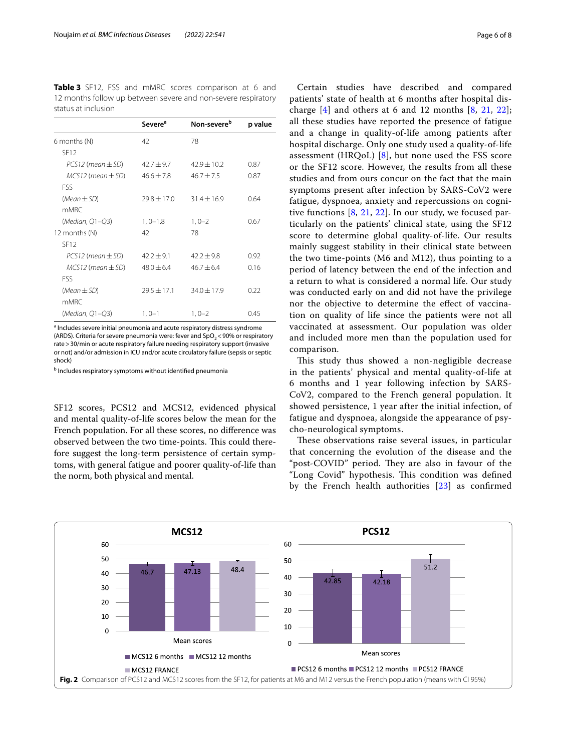<span id="page-5-0"></span>**Table 3** SF12, FSS and mMRC scores comparison at 6 and 12 months follow up between severe and non-severe respiratory status at inclusion

|                         | Severe <sup>a</sup> | Non-severe <sup>b</sup> | p value |
|-------------------------|---------------------|-------------------------|---------|
| 6 months (N)            | 42                  | 78                      |         |
| SF12                    |                     |                         |         |
| $PCS12$ (mean $\pm$ SD) | $42.7 \pm 9.7$      | $42.9 + 10.2$           | 0.87    |
| $MCS12$ (mean $\pm$ SD) | $46.6 + 7.8$        | $46.7 \pm 7.5$          | 0.87    |
| <b>FSS</b>              |                     |                         |         |
| $(Mean \pm SD)$         | $79.8 + 17.0$       | $31.4 + 16.9$           | 0.64    |
| mMRC                    |                     |                         |         |
| (Median, Q1-Q3)         | $1, 0 - 1.8$        | $1, 0 - 2$              | 0.67    |
| 12 months (N)           | 42                  | 78                      |         |
| SF <sub>12</sub>        |                     |                         |         |
| $PCS12$ (mean $\pm$ SD) | $42.2 \pm 9.1$      | $42.2 + 9.8$            | 0.92    |
| $MCS12$ (mean $\pm$ SD) | $48.0 \pm 6.4$      | $46.7 + 6.4$            | 0.16    |
| <b>FSS</b>              |                     |                         |         |
| $(Mean \pm SD)$         | $29.5 + 17.1$       | $34.0 \pm 17.9$         | 0.22    |
| mMRC                    |                     |                         |         |
| (Median, Q1-Q3)         | $1, 0 - 1$          | $1,0-2$                 | 0.45    |

<sup>a</sup> Includes severe initial pneumonia and acute respiratory distress syndrome (ARDS). Criteria for severe pneumonia were: fever and  $SpO<sub>2</sub>$  < 90% or respiratory rate>30/min or acute respiratory failure needing respiratory support (invasive or not) and/or admission in ICU and/or acute circulatory failure (sepsis or septic shock)

<sup>b</sup> Includes respiratory symptoms without identified pneumonia

SF12 scores, PCS12 and MCS12, evidenced physical and mental quality-of-life scores below the mean for the French population. For all these scores, no diference was observed between the two time-points. This could therefore suggest the long-term persistence of certain symptoms, with general fatigue and poorer quality-of-life than the norm, both physical and mental.

Certain studies have described and compared patients' state of health at 6 months after hospital discharge  $[4]$  $[4]$  and others at 6 and 12 months  $[8, 21, 22]$  $[8, 21, 22]$  $[8, 21, 22]$  $[8, 21, 22]$  $[8, 21, 22]$  $[8, 21, 22]$ ; all these studies have reported the presence of fatigue and a change in quality-of-life among patients after hospital discharge. Only one study used a quality-of-life assessment (HRQoL)  $[8]$  $[8]$ , but none used the FSS score or the SF12 score. However, the results from all these studies and from ours concur on the fact that the main symptoms present after infection by SARS-CoV2 were fatigue, dyspnoea, anxiety and repercussions on cognitive functions [\[8](#page-7-3), [21,](#page-7-14) [22](#page-7-15)]. In our study, we focused particularly on the patients' clinical state, using the SF12 score to determine global quality-of-life. Our results mainly suggest stability in their clinical state between the two time-points (M6 and M12), thus pointing to a period of latency between the end of the infection and a return to what is considered a normal life. Our study was conducted early on and did not have the privilege nor the objective to determine the efect of vaccination on quality of life since the patients were not all vaccinated at assessment. Our population was older and included more men than the population used for comparison.

This study thus showed a non-negligible decrease in the patients' physical and mental quality-of-life at 6 months and 1 year following infection by SARS-CoV2, compared to the French general population. It showed persistence, 1 year after the initial infection, of fatigue and dyspnoea, alongside the appearance of psycho-neurological symptoms.

These observations raise several issues, in particular that concerning the evolution of the disease and the "post-COVID" period. They are also in favour of the "Long Covid" hypothesis. This condition was defined by the French health authorities [[23\]](#page-7-16) as confrmed

<span id="page-5-1"></span>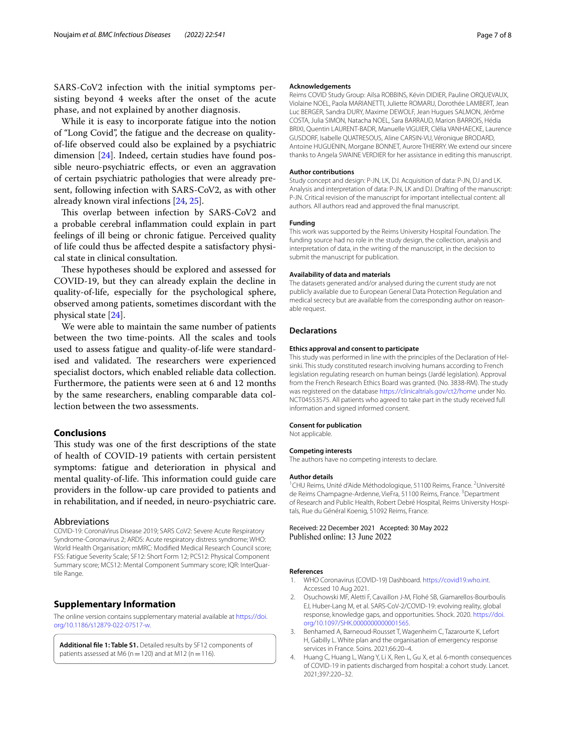SARS-CoV2 infection with the initial symptoms persisting beyond 4 weeks after the onset of the acute phase, and not explained by another diagnosis.

While it is easy to incorporate fatigue into the notion of "Long Covid", the fatigue and the decrease on qualityof-life observed could also be explained by a psychiatric dimension [\[24](#page-7-17)]. Indeed, certain studies have found possible neuro-psychiatric efects, or even an aggravation of certain psychiatric pathologies that were already present, following infection with SARS-CoV2, as with other already known viral infections [\[24,](#page-7-17) [25](#page-7-18)].

This overlap between infection by SARS-CoV2 and a probable cerebral infammation could explain in part feelings of ill being or chronic fatigue. Perceived quality of life could thus be afected despite a satisfactory physical state in clinical consultation.

These hypotheses should be explored and assessed for COVID-19, but they can already explain the decline in quality-of-life, especially for the psychological sphere, observed among patients, sometimes discordant with the physical state [[24\]](#page-7-17).

We were able to maintain the same number of patients between the two time-points. All the scales and tools used to assess fatigue and quality-of-life were standardised and validated. The researchers were experienced specialist doctors, which enabled reliable data collection. Furthermore, the patients were seen at 6 and 12 months by the same researchers, enabling comparable data collection between the two assessments.

## **Conclusions**

This study was one of the first descriptions of the state of health of COVID-19 patients with certain persistent symptoms: fatigue and deterioration in physical and mental quality-of-life. This information could guide care providers in the follow-up care provided to patients and in rehabilitation, and if needed, in neuro-psychiatric care.

#### Abbreviations

COVID-19: CoronaVirus Disease 2019; SARS CoV2: Severe Acute Respiratory Syndrome-Coronavirus 2; ARDS: Acute respiratory distress syndrome; WHO: World Health Organisation; mMRC: Modifed Medical Research Council score; FSS: Fatigue Severity Scale; SF12: Short Form 12; PCS12: Physical Component Summary score; MCS12: Mental Component Summary score; IQR: InterQuar‑ tile Range.

#### **Supplementary Information**

The online version contains supplementary material available at [https://doi.](https://doi.org/10.1186/s12879-022-07517-w) [org/10.1186/s12879-022-07517-w.](https://doi.org/10.1186/s12879-022-07517-w)

<span id="page-6-4"></span>**Additional fle 1: Table S1.** Detailed results by SF12 components of patients assessed at M6 ( $n=120$ ) and at M12 ( $n=116$ ).

#### **Acknowledgements**

Reims COVID Study Group: Ailsa ROBBINS, Kévin DIDIER, Pauline ORQUEVAUX, Violaine NOEL, Paola MARIANETTI, Juliette ROMARU, Dorothée LAMBERT, Jean Luc BERGER, Sandra DURY, Maxime DEWOLF, Jean Hugues SALMON, Jérôme COSTA, Julia SIMON, Natacha NOEL, Sara BARRAUD, Marion BARROIS, Hédia BRIXI, Quentin LAURENT-BADR, Manuelle VIGUIER, Clélia VANHAECKE, Laurence GUSDORF, Isabelle QUATRESOUS, Aline CARSIN-VU, Véronique BRODARD, Antoine HUGUENIN, Morgane BONNET, Aurore THIERRY. We extend our sincere thanks to Angela SWAINE VERDIER for her assistance in editing this manuscript.

#### **Author contributions**

Study concept and design: P-JN, LK, DJ. Acquisition of data: P-JN, DJ and LK. Analysis and interpretation of data: P-JN, LK and DJ. Drafting of the manuscript: P-JN. Critical revision of the manuscript for important intellectual content: all authors. All authors read and approved the fnal manuscript.

#### **Funding**

This work was supported by the Reims University Hospital Foundation. The funding source had no role in the study design, the collection, analysis and interpretation of data, in the writing of the manuscript, in the decision to submit the manuscript for publication.

#### **Availability of data and materials**

The datasets generated and/or analysed during the current study are not publicly available due to European General Data Protection Regulation and medical secrecy but are available from the corresponding author on reasonable request.

## **Declarations**

#### **Ethics approval and consent to participate**

This study was performed in line with the principles of the Declaration of Helsinki. This study constituted research involving humans according to French legislation regulating research on human beings (Jardé legislation). Approval from the French Research Ethics Board was granted. (No. 3838-RM). The study was registered on the database <https://clinicaltrials.gov/ct2/home> under No. NCT04553575. All patients who agreed to take part in the study received full information and signed informed consent.

#### **Consent for publication**

Not applicable.

#### **Competing interests**

The authors have no competing interests to declare.

#### **Author details**

<sup>1</sup> CHU Reims, Unité d'Aide Méthodologique, 51100 Reims, France. <sup>2</sup> Université de Reims Champagne-Ardenne, VieFra, 51100 Reims, France. <sup>3</sup>Department of Research and Public Health, Robert Debré Hospital, Reims University Hospitals, Rue du Général Koenig, 51092 Reims, France.

### Received: 22 December 2021 Accepted: 30 May 2022 Published online: 13 June 2022

#### **References**

- <span id="page-6-0"></span>WHO Coronavirus (COVID-19) Dashboard. [https://covid19.who.int.](https://covid19.who.int) Accessed 10 Aug 2021.
- <span id="page-6-1"></span>2. Osuchowski MF, Aletti F, Cavaillon J-M, Flohé SB, Giamarellos-Bourboulis EJ, Huber-Lang M, et al. SARS-CoV-2/COVID-19: evolving reality, global response, knowledge gaps, and opportunities. Shock. 2020. [https://doi.](https://doi.org/10.1097/SHK.0000000000001565) [org/10.1097/SHK.0000000000001565](https://doi.org/10.1097/SHK.0000000000001565).
- <span id="page-6-2"></span>3. Benhamed A, Barneoud-Rousset T, Wagenheim C, Tazarourte K, Lefort H, Gabilly L. White plan and the organisation of emergency response services in France. Soins. 2021;66:20–4.
- <span id="page-6-3"></span>4. Huang C, Huang L, Wang Y, Li X, Ren L, Gu X, et al. 6-month consequences of COVID-19 in patients discharged from hospital: a cohort study. Lancet. 2021;397:220–32.